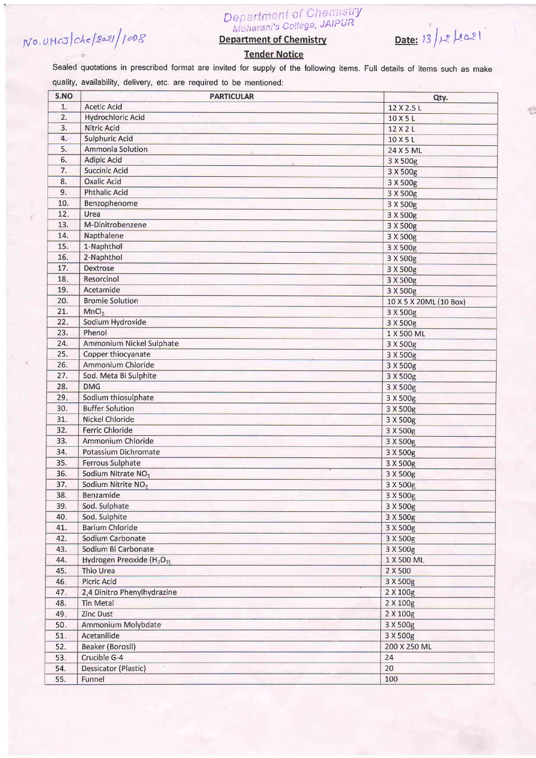## NO.UMCJ Che/2021/1008

## Department of Chemistry<br>Maharani's College, JAIPUR

**Department of Chemistry** 

Date:  $13/x$  [2021]

**Tender Notice** 

Sealed quotations in prescribed format are invited for supply of the following items. Full details of items such as make quality, availability, delivery, etc. are required to be mentioned:

| S.NO | <b>PARTICULAR</b>                                 | Qty.                   |
|------|---------------------------------------------------|------------------------|
| 1.   | <b>Acetic Acid</b>                                | 12 X 2.5 L             |
| 2.   | <b>Hydrochloric Acid</b>                          | 10 X 5 L               |
| 3.   | Nitric Acid                                       | 12 X 2 L               |
| 4.   | <b>Sulphuric Acid</b>                             | 10 X 5 L               |
| 5.   | Ammonia Solution                                  | 24 X 5 ML              |
| 6.   | <b>Adipic Acid</b>                                | 3 X 500g               |
| 7.   | Succinic Acid                                     | 3 X 500g               |
| 8.   | <b>Oxalic Acid</b>                                | 3 X 500g               |
| 9.   | <b>Phthalic Acid</b>                              | 3 X 500g               |
| 10.  | Benzophenome                                      | 3 X 500g               |
| 12.  | Urea                                              | 3 X 500g               |
| 13.  | M-Dinitrobenzene                                  | 3 X 500g               |
| 14.  | Napthalene                                        | 3 X 500g               |
| 15.  | 1-Naphthol                                        | 3 X 500g               |
| 16.  | 2-Naphthol                                        | 3 X 500g               |
| 17.  | <b>Dextrose</b>                                   | 3 X 500g               |
| 18.  | Resorcinol                                        | 3 X 500g               |
| 19.  | Acetamide                                         | 3 X 500g               |
| 20.  | <b>Bromie Solution</b>                            | 10 X 5 X 20ML (10 Box) |
| 21.  | MnCl <sub>2</sub>                                 | 3 X 500g               |
| 22.  | Sodium Hydroxide                                  | 3 X 500g               |
| 23.  | Phenol                                            | 1 X 500 ML             |
| 24.  | Ammonium Nickel Sulphate                          | 3 X 500g               |
| 25.  | Copper thiocyanate                                | 3 X 500g               |
| 26.  | Ammonium Chloride                                 | 3 X 500g               |
| 27.  | Sod. Meta Bi Sulphite                             | 3 X 500g               |
| 28.  | <b>DMG</b>                                        | 3 X 500g               |
| 29.  | Sodium thiosulphate                               | 3 X 500g               |
| 30.  | <b>Buffer Solution</b>                            | 3 X 500g               |
| 31.  | <b>Nickel Chloride</b>                            | 3 X 500g               |
| 32.  | Ferric Chloride                                   | 3 X 500g               |
| 33.  | Ammonium Chloride                                 | 3 X 500g               |
| 34.  | Potassium Dichromate                              | 3 X 500g               |
| 35.  | <b>Ferrous Sulphate</b>                           | 3 X 500g               |
| 36.  | Sodium Nitrate NO <sub>3</sub>                    | 3 X 500g               |
| 37.  | Sodium Nitrite NO <sub>2</sub>                    | 3 X 500g               |
| 38.  | Benzamide                                         | 3 X 500g               |
| 39.  | Sod. Sulphate                                     | 3 X 500g               |
| 40.  | Sod. Sulphite                                     | 3 X 500g               |
| 41.  | <b>Barium Chloride</b>                            | 3 X 500g               |
| 42.  | Sodium Carbonate                                  | 3 X 500g               |
| 43.  | Sodium Bi Carbonate                               | 3 X 500g               |
| 44.  | Hydrogen Preoxide (H <sub>2</sub> O <sub>2)</sub> | 1 X 500 ML             |
| 45.  | Thio Urea                                         | 2 X 500                |
| 46.  | <b>Picric Acid</b>                                | 3 X 500g               |
| 47.  | 2,4 Dinitro Phenylhydrazine                       | 2 X 100g               |
| 48.  | Tin Metal                                         | 2 X 100g               |
| 49.  | Zinc Dust                                         | 2 X 100g               |
| 50.  | Ammonium Molybdate                                | 3 X 500g               |
| 51.  | Acetanilide                                       | 3 X 500g               |
| 52.  | <b>Beaker (Borosil)</b>                           | 200 X 250 ML           |
| 53.  | Crucible G-4                                      | 24                     |
| 54.  | Dessicator (Plastic)                              | 20                     |
| 55.  | Funnel                                            | 100                    |